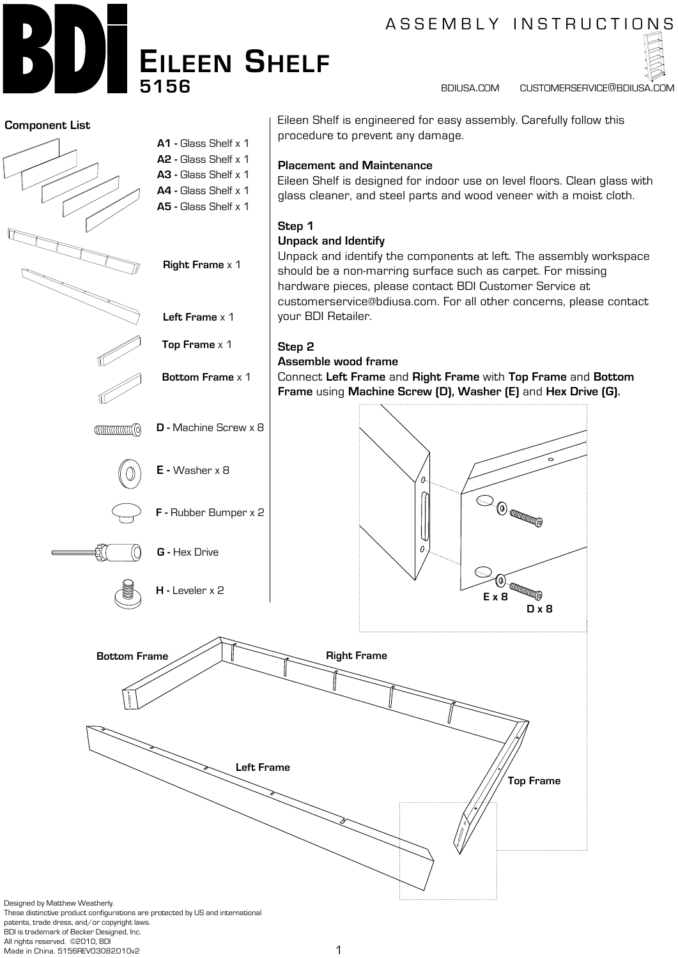

# A S S E M B L Y IN S T R U C T I O N S

bdiusa.com customerservice@bdiusa.com



patents, trade dress, and/or copyright laws.

BDI is trademark of Becker Designed, Inc.

All rights reserved. ©2010, BDI Made in China. 5156REV03082010v2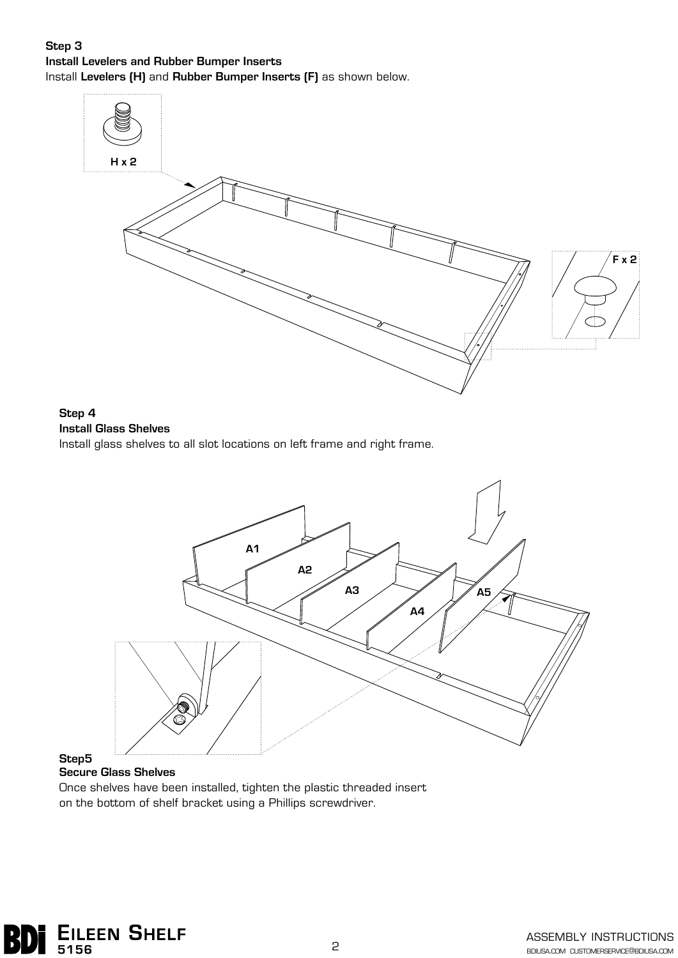#### **Step 3 Install Levelers and Rubber Bumper Inserts** Install **Levelers (H)** and **Rubber Bumper Inserts (F)** as shown below.



## **Step 4 Install Glass Shelves**

Install glass shelves to all slot locations on left frame and right frame.



# **Step5**

#### **Secure Glass Shelves**

Once shelves have been installed, tighten the plastic threaded insert on the bottom of shelf bracket using a Phillips screwdriver.